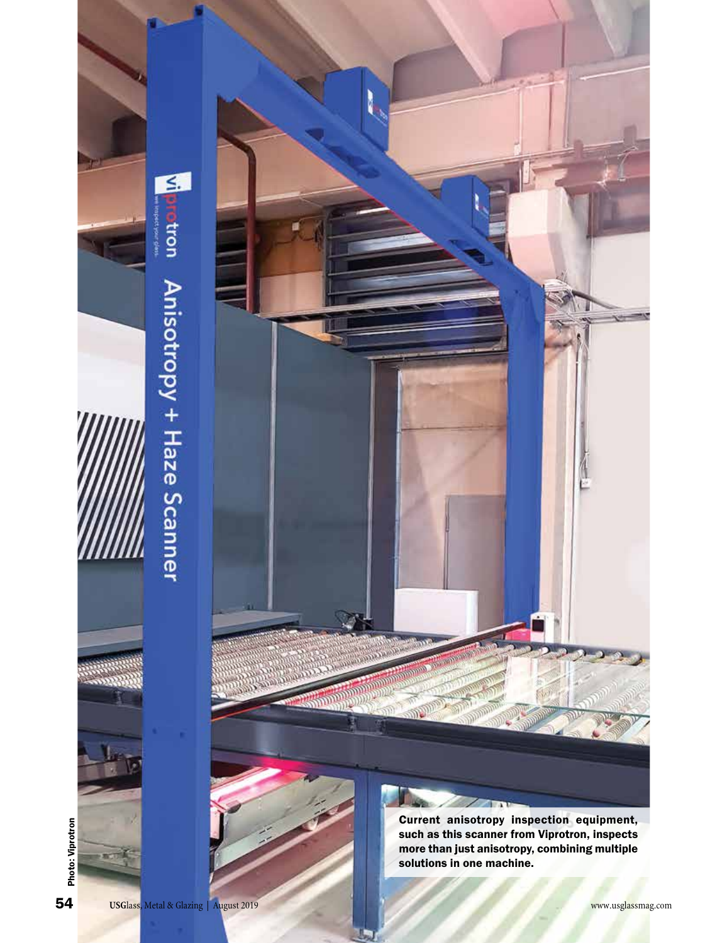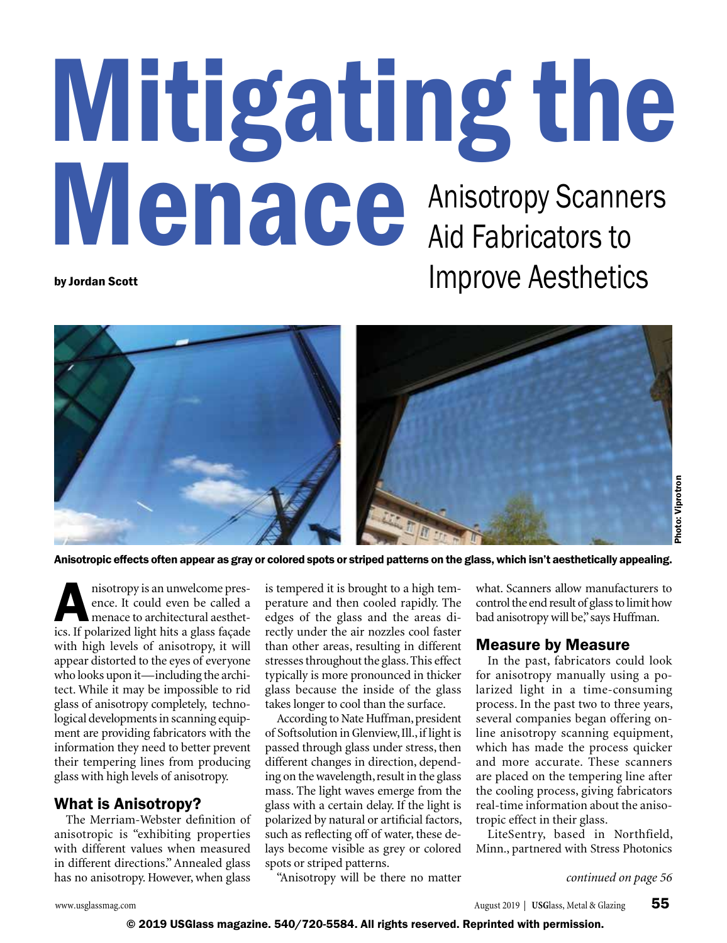# Mitigating the Menace Anisotropy Scanners Aid Fabricators to by Jordan Scott **Improve Aesthetics**



Anisotropic effects often appear as gray or colored spots or striped patterns on the glass, which isn't aesthetically appealing.

nisotropy is an unwelcome pres-<br>ence. It could even be called a<br>menace to architectural aesthet-<br>ics If polarized light hits a glass facede ence. It could even be called a menace to architectural aesthetics. If polarized light hits a glass façade with high levels of anisotropy, it will appear distorted to the eyes of everyone who looks upon it—including the architect. While it may be impossible to rid glass of anisotropy completely, technological developments in scanning equipment are providing fabricators with the information they need to better prevent their tempering lines from producing glass with high levels of anisotropy.

#### What is Anisotropy?

The Merriam-Webster definition of anisotropic is "exhibiting properties with different values when measured in different directions." Annealed glass has no anisotropy. However, when glass

is tempered it is brought to a high temperature and then cooled rapidly. The edges of the glass and the areas directly under the air nozzles cool faster than other areas, resulting in different stresses throughout the glass. This effect typically is more pronounced in thicker glass because the inside of the glass takes longer to cool than the surface.

According to Nate Huffman, president of Softsolution in Glenview, Ill., if light is passed through glass under stress, then different changes in direction, depending on the wavelength, result in the glass mass. The light waves emerge from the glass with a certain delay. If the light is polarized by natural or artificial factors, such as reflecting off of water, these delays become visible as grey or colored spots or striped patterns.

"Anisotropy will be there no matter

what. Scanners allow manufacturers to control the end result of glass to limit how bad anisotropy will be," says Huffman.

#### Measure by Measure

In the past, fabricators could look for anisotropy manually using a polarized light in a time-consuming process. In the past two to three years, several companies began offering online anisotropy scanning equipment, which has made the process quicker and more accurate. These scanners are placed on the tempering line after the cooling process, giving fabricators real-time information about the anisotropic effect in their glass.

LiteSentry, based in Northfield, Minn., partnered with Stress Photonics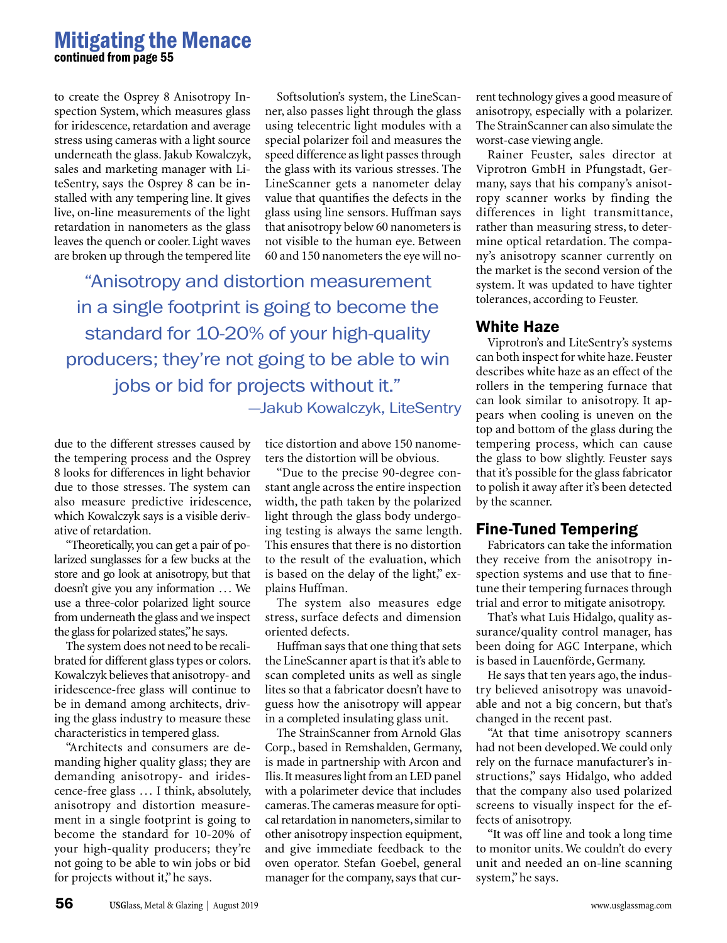## Mitigating the Menace continued from page 55

to create the Osprey 8 Anisotropy Inspection System, which measures glass for iridescence, retardation and average stress using cameras with a light source underneath the glass. Jakub Kowalczyk, sales and marketing manager with LiteSentry, says the Osprey 8 can be installed with any tempering line. It gives live, on-line measurements of the light retardation in nanometers as the glass leaves the quench or cooler. Light waves are broken up through the tempered lite

Softsolution's system, the LineScanner, also passes light through the glass using telecentric light modules with a special polarizer foil and measures the speed difference as light passes through the glass with its various stresses. The LineScanner gets a nanometer delay value that quantifies the defects in the glass using line sensors. Huffman says that anisotropy below 60 nanometers is not visible to the human eye. Between 60 and 150 nanometers the eye will no-

"Anisotropy and distortion measurement in a single footprint is going to become the standard for 10-20% of your high-quality producers; they're not going to be able to win jobs or bid for projects without it." —Jakub Kowalczyk, LiteSentry

due to the different stresses caused by the tempering process and the Osprey 8 looks for differences in light behavior due to those stresses. The system can also measure predictive iridescence, which Kowalczyk says is a visible derivative of retardation.

"Theoretically, you can get a pair of polarized sunglasses for a few bucks at the store and go look at anisotropy, but that doesn't give you any information … We use a three-color polarized light source from underneath the glass and we inspect the glass for polarized states," he says.

The system does not need to be recalibrated for different glass types or colors. Kowalczyk believes that anisotropy- and iridescence-free glass will continue to be in demand among architects, driving the glass industry to measure these characteristics in tempered glass.

"Architects and consumers are demanding higher quality glass; they are demanding anisotropy- and iridescence-free glass … I think, absolutely, anisotropy and distortion measurement in a single footprint is going to become the standard for 10-20% of your high-quality producers; they're not going to be able to win jobs or bid for projects without it," he says.

tice distortion and above 150 nanometers the distortion will be obvious.

"Due to the precise 90-degree constant angle across the entire inspection width, the path taken by the polarized light through the glass body undergoing testing is always the same length. This ensures that there is no distortion to the result of the evaluation, which is based on the delay of the light," explains Huffman.

The system also measures edge stress, surface defects and dimension oriented defects.

Huffman says that one thing that sets the LineScanner apart is that it's able to scan completed units as well as single lites so that a fabricator doesn't have to guess how the anisotropy will appear in a completed insulating glass unit.

The StrainScanner from Arnold Glas Corp., based in Remshalden, Germany, is made in partnership with Arcon and Ilis. It measures light from an LED panel with a polarimeter device that includes cameras. The cameras measure for optical retardation in nanometers, similar to other anisotropy inspection equipment, and give immediate feedback to the oven operator. Stefan Goebel, general manager for the company, says that current technology gives a good measure of anisotropy, especially with a polarizer. The StrainScanner can also simulate the worst-case viewing angle.

Rainer Feuster, sales director at Viprotron GmbH in Pfungstadt, Germany, says that his company's anisotropy scanner works by finding the differences in light transmittance, rather than measuring stress, to determine optical retardation. The company's anisotropy scanner currently on the market is the second version of the system. It was updated to have tighter tolerances, according to Feuster.

#### White Haze

Viprotron's and LiteSentry's systems can both inspect for white haze. Feuster describes white haze as an effect of the rollers in the tempering furnace that can look similar to anisotropy. It appears when cooling is uneven on the top and bottom of the glass during the tempering process, which can cause the glass to bow slightly. Feuster says that it's possible for the glass fabricator to polish it away after it's been detected by the scanner.

# Fine-Tuned Tempering

Fabricators can take the information they receive from the anisotropy inspection systems and use that to finetune their tempering furnaces through trial and error to mitigate anisotropy.

That's what Luis Hidalgo, quality assurance/quality control manager, has been doing for AGC Interpane, which is based in Lauenförde, Germany.

He says that ten years ago, the industry believed anisotropy was unavoidable and not a big concern, but that's changed in the recent past.

"At that time anisotropy scanners had not been developed. We could only rely on the furnace manufacturer's instructions," says Hidalgo, who added that the company also used polarized screens to visually inspect for the effects of anisotropy.

"It was off line and took a long time to monitor units. We couldn't do every unit and needed an on-line scanning system," he says.